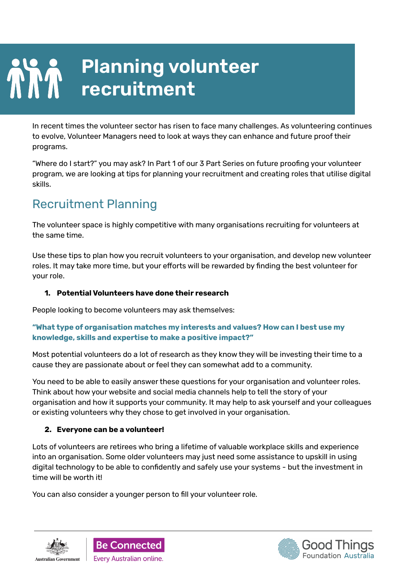# **Planning volunteer recruitment**

In recent times the volunteer sector has risen to face many challenges. As volunteering continues to evolve, Volunteer Managers need to look at ways they can enhance and future proof their programs.

"Where do I start?" you may ask? In Part 1 of our 3 Part Series on future proofing your volunteer program, we are looking at tips for planning your recruitment and creating roles that utilise digital skills.

## Recruitment Planning

The volunteer space is highly competitive with many organisations recruiting for volunteers at the same time.

Use these tips to plan how you recruit volunteers to your organisation, and develop new volunteer roles. It may take more time, but your efforts will be rewarded by finding the best volunteer for your role.

#### **1. Potential Volunteers have done their research**

People looking to become volunteers may ask themselves:

#### **"What type of organisation matches my interests and values? How can I best use my knowledge, skills and expertise to make a positive impact?"**

Most potential volunteers do a lot of research as they know they will be investing their time to a cause they are passionate about or feel they can somewhat add to a community.

You need to be able to easily answer these questions for your organisation and volunteer roles. Think about how your website and social media channels help to tell the story of your organisation and how it supports your community. It may help to ask yourself and your colleagues or existing volunteers why they chose to get involved in your organisation.

#### **2. Everyone can be a volunteer!**

Lots of volunteers are retirees who bring a lifetime of valuable workplace skills and experience into an organisation. Some older volunteers may just need some assistance to upskill in using digital technology to be able to confidently and safely use your systems - but the investment in time will be worth it!

You can also consider a younger person to fill your volunteer role.





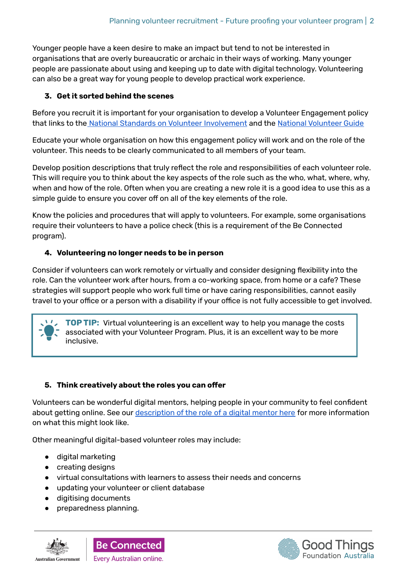Younger people have a keen desire to make an impact but tend to not be interested in organisations that are overly bureaucratic or archaic in their ways of working. Many younger people are passionate about using and keeping up to date with digital technology. Volunteering can also be a great way for young people to develop practical work experience.

#### **3. Get it sorted behind the scenes**

Before you recruit it is important for your organisation to develop a Volunteer Engagement policy that links to the National Standards on Volunteer [Involvement](https://www.volunteeringaustralia.org/wp-content/uploads/National-Standards-Document-FINAL_Web.pdf) and the National [Volunteer](https://www.volunteeringaustralia.org/resources/national-volunteer-guide/) Guide

Educate your whole organisation on how this engagement policy will work and on the role of the volunteer. This needs to be clearly communicated to all members of your team.

Develop position descriptions that truly reflect the role and responsibilities of each volunteer role. This will require you to think about the key aspects of the role such as the who, what, where, why, when and how of the role. Often when you are creating a new role it is a good idea to use this as a simple guide to ensure you cover off on all of the key elements of the role.

Know the policies and procedures that will apply to volunteers. For example, some organisations require their volunteers to have a police check (this is a requirement of the Be Connected program).

#### **4. Volunteering no longer needs to be in person**

Consider if volunteers can work remotely or virtually and consider designing flexibility into the role. Can the volunteer work after hours, from a co-working space, from home or a cafe? These strategies will support people who work full time or have caring responsibilities, cannot easily travel to your office or a person with a disability if your office is not fully accessible to get involved.

**TOP TIP:** Virtual volunteering is an excellent way to help you manage the costs associated with your Volunteer Program. Plus, it is an excellent way to be more inclusive.

#### **5. Think creatively about the roles you can offer**

Volunteers can be wonderful digital mentors, helping people in your community to feel confident about getting online. See our [description](https://www.beconnectednetwork.org.au/sites/default/files/role_of_a_digital_mentor_accessible.pdf) of the role of a digital mentor here for more information on what this might look like.

Other meaningful digital-based volunteer roles may include:

- digital marketing
- creating designs
- virtual consultations with learners to assess their needs and concerns
- updating your volunteer or client database
- digitising documents
- preparedness planning.